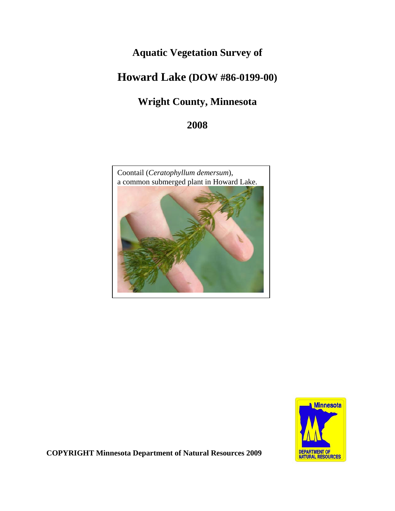# **Aquatic Vegetation Survey of**

# **Howard Lake (DOW #86-0199-00)**

# **Wright County, Minnesota**

## **2008**





**COPYRIGHT Minnesota Department of Natural Resources 2009**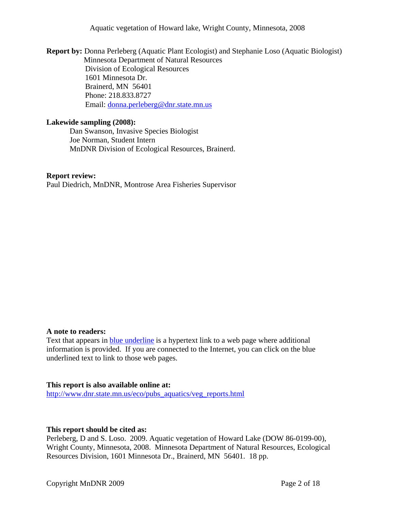Aquatic vegetation of Howard lake, Wright County, Minnesota, 2008

 **Report by:** Donna Perleberg (Aquatic Plant Ecologist) and Stephanie Loso (Aquatic Biologist) Minnesota Department of Natural Resources Division of Ecological Resources 1601 Minnesota Dr. Brainerd, MN 56401 Phone: 218.833.8727 Email: [donna.perleberg@dnr.state.mn.us](mailto:donna.perleberg@dnr.state.mn.us)

#### **Lakewide sampling (2008):**

Dan Swanson, Invasive Species Biologist Joe Norman, Student Intern MnDNR Division of Ecological Resources, Brainerd.

#### **Report review:**

Paul Diedrich, MnDNR, Montrose Area Fisheries Supervisor

## **A note to readers:**

Text that appears in **blue underline** is a hypertext link to a web page where additional information is provided. If you are connected to the Internet, you can click on the blue underlined text to link to those web pages.

#### **This report is also available online at:**

[http://www.dnr.state.mn.us/eco/pubs\\_aquatics/veg\\_reports.html](http://www.dnr.state.mn.us/eco/pubs_aquatics/veg_reports.html)

## **This report should be cited as:**

Perleberg, D and S. Loso. 2009. Aquatic vegetation of Howard Lake (DOW 86-0199-00), Wright County, Minnesota, 2008. Minnesota Department of Natural Resources, Ecological Resources Division, 1601 Minnesota Dr., Brainerd, MN 56401. 18 pp.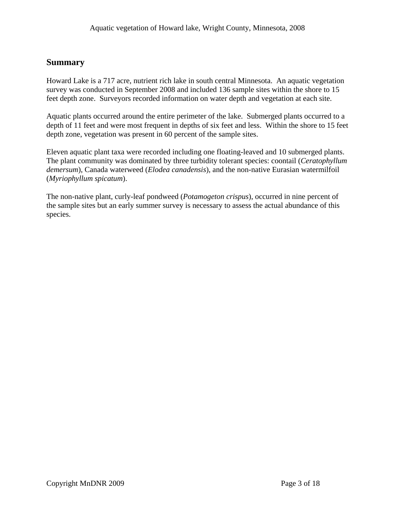## **Summary**

Howard Lake is a 717 acre, nutrient rich lake in south central Minnesota. An aquatic vegetation survey was conducted in September 2008 and included 136 sample sites within the shore to 15 feet depth zone. Surveyors recorded information on water depth and vegetation at each site.

Aquatic plants occurred around the entire perimeter of the lake. Submerged plants occurred to a depth of 11 feet and were most frequent in depths of six feet and less. Within the shore to 15 feet depth zone, vegetation was present in 60 percent of the sample sites.

Eleven aquatic plant taxa were recorded including one floating-leaved and 10 submerged plants. The plant community was dominated by three turbidity tolerant species: coontail (*Ceratophyllum demersum*), Canada waterweed (*Elodea canadensis*), and the non-native Eurasian watermilfoil (*Myriophyllum spicatum*).

The non-native plant, curly-leaf pondweed (*Potamogeton crispus*), occurred in nine percent of the sample sites but an early summer survey is necessary to assess the actual abundance of this species.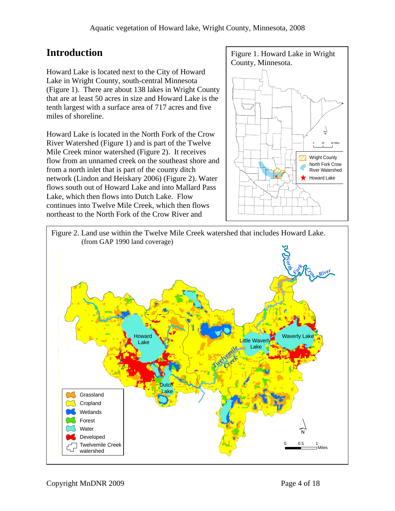Howard Lake is located next to the City of Howard Lake in Wright County, south-central Minnesota (Figure 1). There are about 138 lakes in Wright County that are at least 50 acres in size and Howard Lake is the tenth largest with a surface area of 717 acres and five miles of shoreline.

Howard Lake is located in the North Fork of the Crow ´ River Watershed (Figure 1) and is part of the Twelve Mile Creek minor watershed (Figure 2).It receives flow from an unnamed creek on the southeast shore and from a north inlet that is part of the county ditch network (Lindon and Heiskary 2006) (Figure 2). Water flows south out of Howard Lake and into Mallard Pass Lake, which then flows into Dutch Lake. Flow continues into Twelve Mile Creek, which then flows northeast to the North Fork of the Crow River and



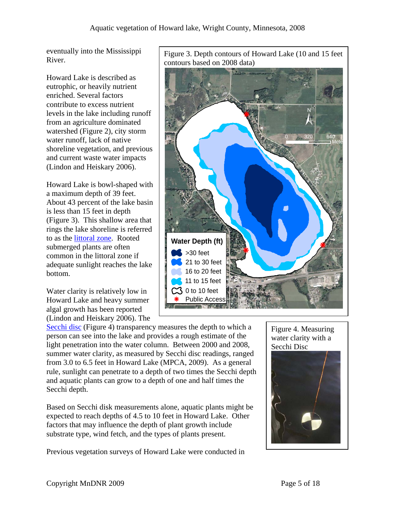eventually into the Mississippi

Howard Lake is described as eutrophic, or heavily nutrient enriched. Several factors contribute to excess nutrient levels in the lake including runoff from an agriculture dominated watershed (Figure 2), city storm water runoff, lack of native shoreline vegetation, and previous and current waste water impacts (Lindon and Heiskary 2006).

Howard Lake is bowl-shaped with a maximum depth of 39 feet. About 43 percent of the lake basin is less than 15 feet in depth (Figure 3). This shallow area that rings the lake shoreline is referred to as the **littoral zone**. Rooted submerged plants are often common in the littoral zone if adequate sunlight reaches the lake bottom.

Water clarity is relatively low in Howard Lake and heavy summer algal growth has been reported (Lindon and Heiskary 2006). The

eventually into the MISSISSIPPI Figure 3. Depth contours of Howard Lake (10 and 15 feet<br>River. contours based on 2008 data)



[Secchi disc](http://www.pca.state.mn.us/water/secchi-slideshow.html) (Figure 4) transparency measures the depth to which a person can see into the lake and provides a rough estimate of the light penetration into the water column. Between 2000 and 2008, summer water clarity, as measured by Secchi disc readings, ranged from 3.0 to 6.5 feet in Howard Lake (MPCA, 2009). As a general rule, sunlight can penetrate to a depth of two times the Secchi depth and aquatic plants can grow to a depth of one and half times the Secchi depth.

Based on Secchi disk measurements alone, aquatic plants might be expected to reach depths of 4.5 to 10 feet in Howard Lake. Other factors that may influence the depth of plant growth include substrate type, wind fetch, and the types of plants present.

Previous vegetation surveys of Howard Lake were conducted in

Figure 4. Measuring water clarity with a Secchi Disc

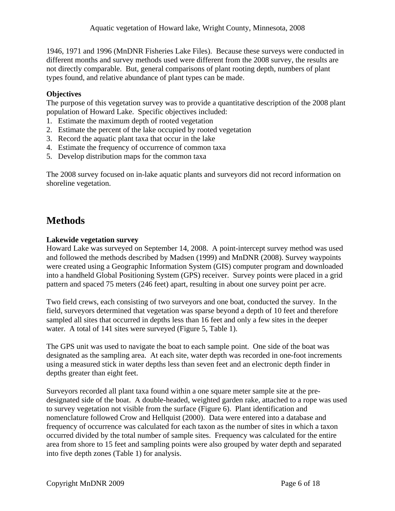1946, 1971 and 1996 (MnDNR Fisheries Lake Files). Because these surveys were conducted in different months and survey methods used were different from the 2008 survey, the results are not directly comparable. But, general comparisons of plant rooting depth, numbers of plant types found, and relative abundance of plant types can be made.

## **Objectives**

The purpose of this vegetation survey was to provide a quantitative description of the 2008 plant population of Howard Lake. Specific objectives included:

- 1. Estimate the maximum depth of rooted vegetation
- 2. Estimate the percent of the lake occupied by rooted vegetation
- 3. Record the aquatic plant taxa that occur in the lake
- 4. Estimate the frequency of occurrence of common taxa
- 5. Develop distribution maps for the common taxa

The 2008 survey focused on in-lake aquatic plants and surveyors did not record information on shoreline vegetation.

## **Methods**

## **Lakewide vegetation survey**

Howard Lake was surveyed on September 14, 2008. A point-intercept survey method was used and followed the methods described by Madsen (1999) and MnDNR (2008). Survey waypoints were created using a Geographic Information System (GIS) computer program and downloaded into a handheld Global Positioning System (GPS) receiver. Survey points were placed in a grid pattern and spaced 75 meters (246 feet) apart, resulting in about one survey point per acre.

Two field crews, each consisting of two surveyors and one boat, conducted the survey. In the field, surveyors determined that vegetation was sparse beyond a depth of 10 feet and therefore sampled all sites that occurred in depths less than 16 feet and only a few sites in the deeper water. A total of 141 sites were surveyed (Figure 5, Table 1).

The GPS unit was used to navigate the boat to each sample point. One side of the boat was designated as the sampling area. At each site, water depth was recorded in one-foot increments using a measured stick in water depths less than seven feet and an electronic depth finder in depths greater than eight feet.

Surveyors recorded all plant taxa found within a one square meter sample site at the predesignated side of the boat. A double-headed, weighted garden rake, attached to a rope was used to survey vegetation not visible from the surface (Figure 6). Plant identification and nomenclature followed Crow and Hellquist (2000). Data were entered into a database and frequency of occurrence was calculated for each taxon as the number of sites in which a taxon occurred divided by the total number of sample sites. Frequency was calculated for the entire area from shore to 15 feet and sampling points were also grouped by water depth and separated into five depth zones (Table 1) for analysis.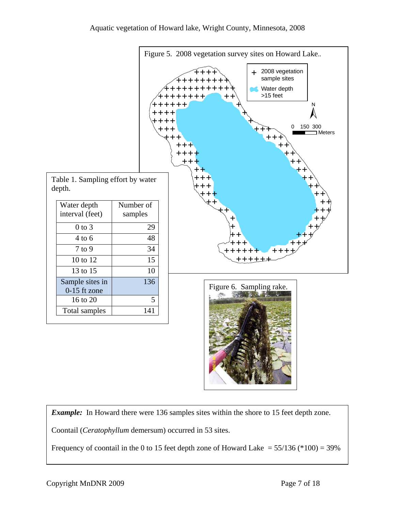

*Example:* In Howard there were 136 samples sites within the shore to 15 feet depth zone.

Coontail (*Ceratophyllum* demersum) occurred in 53 sites.

Frequency of coontail in the 0 to 15 feet depth zone of Howard Lake  $= 55/136$  (\*100) = 39%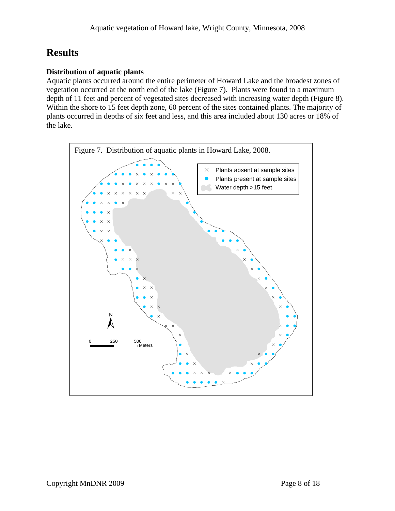# **Results**

## **Distribution of aquatic plants**

Aquatic plants occurred around the entire perimeter of Howard Lake and the broadest zones of vegetation occurred at the north end of the lake (Figure 7). Plants were found to a maximum depth of 11 feet and percent of vegetated sites decreased with increasing water depth (Figure 8). Within the shore to 15 feet depth zone, 60 percent of the sites contained plants. The majority of plants occurred in depths of six feet and less, and this area included about 130 acres or 18% of the lake.

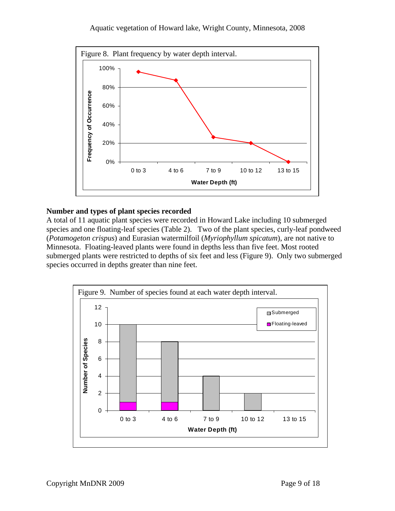## Aquatic vegetation of Howard lake, Wright County, Minnesota, 2008



## **Number and types of plant species recorded**

A total of 11 aquatic plant species were recorded in Howard Lake including 10 submerged species and one floating-leaf species (Table 2). Two of the plant species, curly-leaf pondweed (*Potamogeton crispus*) and Eurasian watermilfoil (*Myriophyllum spicatum*), are not native to Minnesota. Floating-leaved plants were found in depths less than five feet. Most rooted submerged plants were restricted to depths of six feet and less (Figure 9). Only two submerged species occurred in depths greater than nine feet.

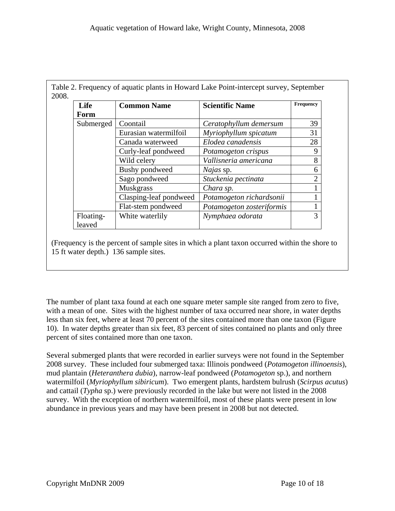| Life      | <b>Common Name</b>     | <b>Scientific Name</b>    | Frequency      |
|-----------|------------------------|---------------------------|----------------|
| Form      |                        |                           |                |
| Submerged | Coontail               | Ceratophyllum demersum    | 39             |
|           | Eurasian watermilfoil  | Myriophyllum spicatum     | 31             |
|           | Canada waterweed       | Elodea canadensis         | 28             |
|           | Curly-leaf pondweed    | Potamogeton crispus       | 9              |
|           | Wild celery            | Vallisneria americana     | 8              |
|           | Bushy pondweed         | <i>Najas</i> sp.          | 6              |
|           | Sago pondweed          | Stuckenia pectinata       | $\overline{2}$ |
|           | <b>Muskgrass</b>       | Chara sp.                 |                |
|           | Clasping-leaf pondweed | Potamogeton richardsonii  |                |
|           | Flat-stem pondweed     | Potamogeton zosteriformis |                |
| Floating- | White waterlily        | Nymphaea odorata          | $\mathcal{R}$  |
| leaved    |                        |                           |                |

(Frequency is the percent of sample sites in which a plant taxon occurred within the shore to 15 ft water depth.) 136 sample sites.

The number of plant taxa found at each one square meter sample site ranged from zero to five, with a mean of one. Sites with the highest number of taxa occurred near shore, in water depths less than six feet, where at least 70 percent of the sites contained more than one taxon (Figure 10). In water depths greater than six feet, 83 percent of sites contained no plants and only three percent of sites contained more than one taxon.

Several submerged plants that were recorded in earlier surveys were not found in the September 2008 survey. These included four submerged taxa: Illinois pondweed (*Potamogeton illinoensis*), mud plantain (*Heteranthera dubia*), narrow-leaf pondweed (*Potamogeton* sp.), and northern watermilfoil (*Myriophyllum sibiricum*). Two emergent plants, hardstem bulrush (*Scirpus acutus*) and cattail (*Typha* sp.) were previously recorded in the lake but were not listed in the 2008 survey. With the exception of northern watermilfoil, most of these plants were present in low abundance in previous years and may have been present in 2008 but not detected.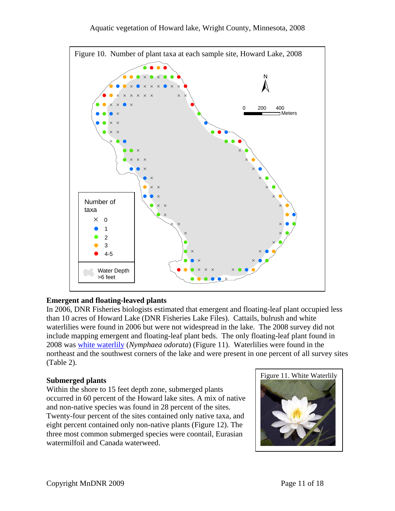

## **Emergent and floating-leaved plants**

In 2006, DNR Fisheries biologists estimated that emergent and floating-leaf plant occupied less than 10 acres of Howard Lake (DNR Fisheries Lake Files). Cattails, bulrush and white waterlilies were found in 2006 but were not widespread in the lake. The 2008 survey did not include mapping emergent and floating-leaf plant beds. The only floating-leaf plant found in 2008 was [white waterlily](http://www.dnr.state.mn.us/aquatic_plants/floatingleaf_plants/white_water_lily.html) (*Nymphaea odorata*) (Figure 11). Waterlilies were found in the northeast and the southwest corners of the lake and were present in one percent of all survey sites (Table 2).

Within the shore to 15 feet depth zone, submerged plants occurred in 60 percent of the Howard lake sites. A mix of native and non-native species was found in 28 percent of the sites. Twenty-four percent of the sites contained only native taxa, and eight percent contained only non-native plants (Figure 12). The three most common submerged species were coontail, Eurasian watermilfoil and Canada waterweed.

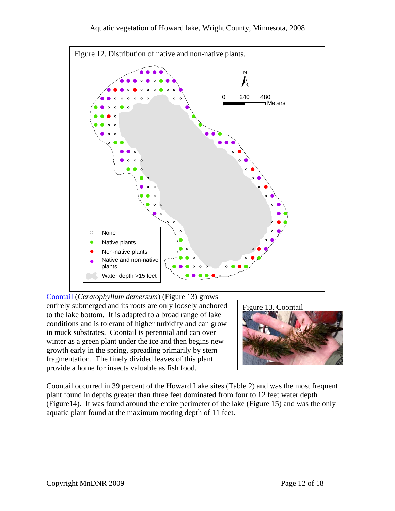

[Coontail](http://www.dnr.state.mn.us/aquatic_plants/submerged_plants/coontail.html) (*Ceratophyllum demersum*) (Figure 13) grows entirely submerged and its roots are only loosely anchored to the lake bottom. It is adapted to a broad range of lake conditions and is tolerant of higher turbidity and can grow in muck substrates. Coontail is perennial and can over winter as a green plant under the ice and then begins new growth early in the spring, spreading primarily by stem fragmentation. The finely divided leaves of this plant provide a home for insects valuable as fish food.



Coontail occurred in 39 percent of the Howard Lake sites (Table 2) and was the most frequent plant found in depths greater than three feet dominated from four to 12 feet water depth (Figure14). It was found around the entire perimeter of the lake (Figure 15) and was the only aquatic plant found at the maximum rooting depth of 11 feet.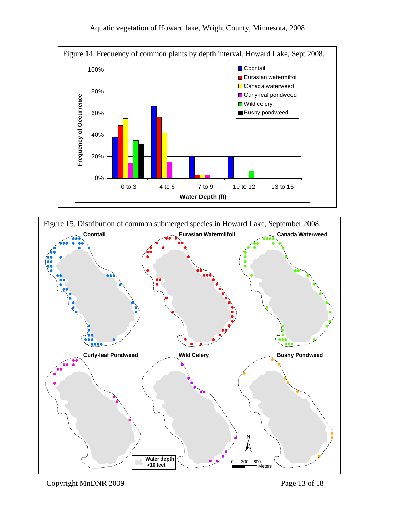

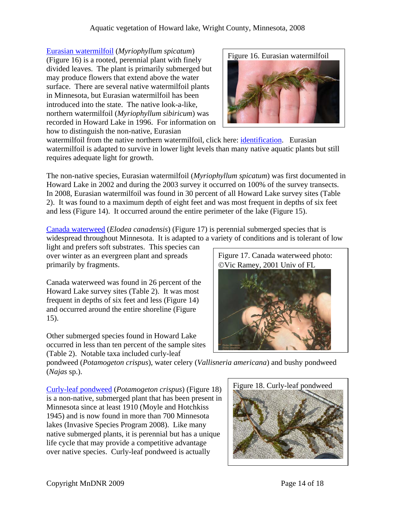[Eurasian watermilfoil](http://www.dnr.state.mn.us/invasives/aquaticplants/milfoil/index.html) (*Myriophyllum spicatum*) (Figure 16) is a rooted, perennial plant with finely divided leaves. The plant is primarily submerged but may produce flowers that extend above the water surface. There are several native watermilfoil plants in Minnesota, but Eurasian watermilfoil has been introduced into the state. The native look-a-like, northern watermilfoil (*Myriophyllum sibiricum*) was recorded in Howard Lake in 1996. For information on how to distinguish the non-native, Eurasian



watermilfoil from the native northern watermilfoil, click here: *identification*. Eurasian watermilfoil is adapted to survive in lower light levels than many native aquatic plants but still requires adequate light for growth.

The non-native species, Eurasian watermilfoil (*Myriophyllum spicatum*) was first documented in Howard Lake in 2002 and during the 2003 survey it occurred on 100% of the survey transects. In 2008, Eurasian watermilfoil was found in 30 percent of all Howard Lake survey sites (Table 2). It was found to a maximum depth of eight feet and was most frequent in depths of six feet and less (Figure 14). It occurred around the entire perimeter of the lake (Figure 15).

[Canada waterweed](http://www.dnr.state.mn.us/aquatic_plants/submerged_plants/canada_waterweed.html) (*Elodea canadensis*) (Figure 17) is perennial submerged species that is widespread throughout Minnesota. It is adapted to a variety of conditions and is tolerant of low

light and prefers soft substrates. This species can over winter as an evergreen plant and spreads primarily by fragments.

Canada waterweed was found in 26 percent of the Howard Lake survey sites (Table 2). It was most frequent in depths of six feet and less (Figure 14) and occurred around the entire shoreline (Figure 15).

Other submerged species found in Howard Lake occurred in less than ten percent of the sample sites (Table 2). Notable taxa included curly-leaf



pondweed (*Potamogeton crispus*), water celery (*Vallisneria americana*) and bushy pondweed (*Najas* sp.).

Figure 18. Curly-leaf pondweed [Curly-leaf pondweed](http://www.dnr.state.mn.us/aquatic_plants/submerged_plants/curlyleaf_pondweed.html) (*Potamogeton crispus*) (Figure 18) is a non-native, submerged plant that has been present in Minnesota since at least 1910 (Moyle and Hotchkiss 1945) and is now found in more than 700 Minnesota lakes (Invasive Species Program 2008). Like many native submerged plants, it is perennial but has a unique life cycle that may provide a competitive advantage over native species. Curly-leaf pondweed is actually

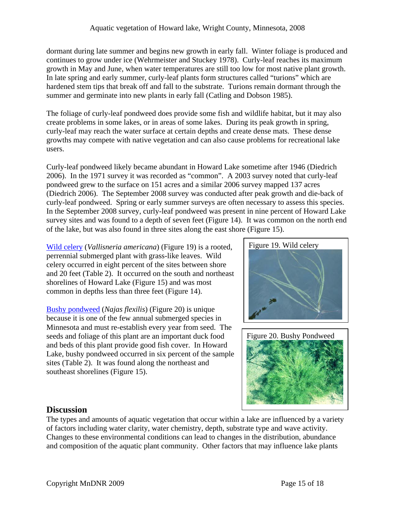dormant during late summer and begins new growth in early fall. Winter foliage is produced and continues to grow under ice (Wehrmeister and Stuckey 1978). Curly-leaf reaches its maximum growth in May and June, when water temperatures are still too low for most native plant growth. In late spring and early summer, curly-leaf plants form structures called "turions" which are hardened stem tips that break off and fall to the substrate. Turions remain dormant through the summer and germinate into new plants in early fall (Catling and Dobson 1985).

The foliage of curly-leaf pondweed does provide some fish and wildlife habitat, but it may also create problems in some lakes, or in areas of some lakes. During its peak growth in spring, curly-leaf may reach the water surface at certain depths and create dense mats. These dense growths may compete with native vegetation and can also cause problems for recreational lake users.

Curly-leaf pondweed likely became abundant in Howard Lake sometime after 1946 (Diedrich 2006). In the 1971 survey it was recorded as "common". A 2003 survey noted that curly-leaf pondweed grew to the surface on 151 acres and a similar 2006 survey mapped 137 acres (Diedrich 2006). The September 2008 survey was conducted after peak growth and die-back of curly-leaf pondweed. Spring or early summer surveys are often necessary to assess this species. In the September 2008 survey, curly-leaf pondweed was present in nine percent of Howard Lake survey sites and was found to a depth of seven feet (Figure 14). It was common on the north end of the lake, but was also found in three sites along the east shore (Figure 15).

[Wild celery](http://www.dnr.state.mn.us/aquatic_plants/submerged_plants/wild_celery.html) (*Vallisneria americana*) (Figure 19) is a rooted, Figure 19. Wild celery perrennial submerged plant with grass-like leaves. Wild celery occurred in eight percent of the sites between shore and 20 feet (Table 2). It occurred on the south and northeast shorelines of Howard Lake (Figure 15) and was most common in depths less than three feet (Figure 14).

[Bushy pondweed](http://www.dnr.state.mn.us/aquatic_plants/submerged_plants/bushy_pondweeds.html) (*Najas flexilis*) (Figure 20) is unique because it is one of the few annual submerged species in Minnesota and must re-establish every year from seed. The seeds and foliage of this plant are an important duck food and beds of this plant provide good fish cover. In Howard Lake, bushy pondweed occurred in six percent of the sample sites (Table 2). It was found along the northeast and southeast shorelines (Figure 15).





## **Discussion**

The types and amounts of aquatic vegetation that occur within a lake are influenced by a variety of factors including water clarity, water chemistry, depth, substrate type and wave activity. Changes to these environmental conditions can lead to changes in the distribution, abundance and composition of the aquatic plant community. Other factors that may influence lake plants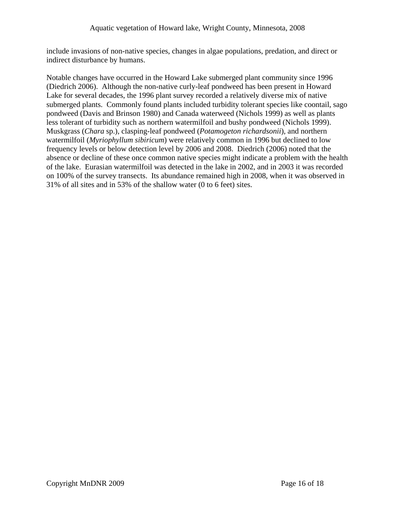include invasions of non-native species, changes in algae populations, predation, and direct or indirect disturbance by humans.

Notable changes have occurred in the Howard Lake submerged plant community since 1996 (Diedrich 2006). Although the non-native curly-leaf pondweed has been present in Howard Lake for several decades, the 1996 plant survey recorded a relatively diverse mix of native submerged plants. Commonly found plants included turbidity tolerant species like coontail, sago pondweed (Davis and Brinson 1980) and Canada waterweed (Nichols 1999) as well as plants less tolerant of turbidity such as northern watermilfoil and bushy pondweed (Nichols 1999). Muskgrass (*Chara* sp.), clasping-leaf pondweed (*Potamogeton richardsonii*), and northern watermilfoil (*Myriophyllum sibiricum*) were relatively common in 1996 but declined to low frequency levels or below detection level by 2006 and 2008. Diedrich (2006) noted that the absence or decline of these once common native species might indicate a problem with the health of the lake. Eurasian watermilfoil was detected in the lake in 2002, and in 2003 it was recorded on 100% of the survey transects. Its abundance remained high in 2008, when it was observed in 31% of all sites and in 53% of the shallow water (0 to 6 feet) sites.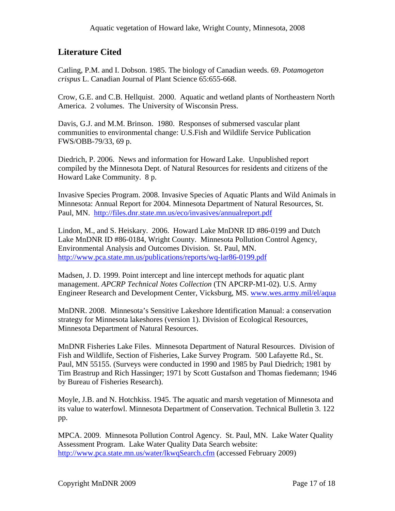## **Literature Cited**

Catling, P.M. and I. Dobson. 1985. The biology of Canadian weeds. 69. *Potamogeton crispus* L. Canadian Journal of Plant Science 65:655-668.

Crow, G.E. and C.B. Hellquist. 2000. Aquatic and wetland plants of Northeastern North America. 2 volumes. The University of Wisconsin Press.

Davis, G.J. and M.M. Brinson. 1980. Responses of submersed vascular plant communities to environmental change: U.S.Fish and Wildlife Service Publication FWS/OBB-79/33, 69 p.

Diedrich, P. 2006. News and information for Howard Lake. Unpublished report compiled by the Minnesota Dept. of Natural Resources for residents and citizens of the Howard Lake Community. 8 p.

Invasive Species Program. 2008. Invasive Species of Aquatic Plants and Wild Animals in Minnesota: Annual Report for 2004. Minnesota Department of Natural Resources, St. Paul, MN. <http://files.dnr.state.mn.us/eco/invasives/annualreport.pdf>

Lindon, M., and S. Heiskary. 2006. Howard Lake MnDNR ID #86-0199 and Dutch Lake MnDNR ID #86-0184, Wright County. Minnesota Pollution Control Agency, Environmental Analysis and Outcomes Division. St. Paul, MN. <http://www.pca.state.mn.us/publications/reports/wq-lar86-0199.pdf>

Madsen, J. D. 1999. Point intercept and line intercept methods for aquatic plant management. *APCRP Technical Notes Collection* (TN APCRP-M1-02). U.S. Army Engineer Research and Development Center, Vicksburg, MS. [www.wes.army.mil/el/aqua](http://www.wes.army.mil/el/aqua)

MnDNR. 2008. Minnesota's Sensitive Lakeshore Identification Manual: a conservation strategy for Minnesota lakeshores (version 1). Division of Ecological Resources, Minnesota Department of Natural Resources.

MnDNR Fisheries Lake Files. Minnesota Department of Natural Resources. Division of Fish and Wildlife, Section of Fisheries, Lake Survey Program. 500 Lafayette Rd., St. Paul, MN 55155. (Surveys were conducted in 1990 and 1985 by Paul Diedrich; 1981 by Tim Brastrup and Rich Hassinger; 1971 by Scott Gustafson and Thomas fiedemann; 1946 by Bureau of Fisheries Research).

Moyle, J.B. and N. Hotchkiss. 1945. The aquatic and marsh vegetation of Minnesota and its value to waterfowl. Minnesota Department of Conservation. Technical Bulletin 3. 122 pp.

MPCA. 2009. Minnesota Pollution Control Agency. St. Paul, MN. Lake Water Quality Assessment Program. Lake Water Quality Data Search website: [http://www.pca.state.mn.us/water/lkwqSearch.cfm](http://www.pca.state.mn.us/water/clmp/clmpSearch.cfm) (accessed February 2009)